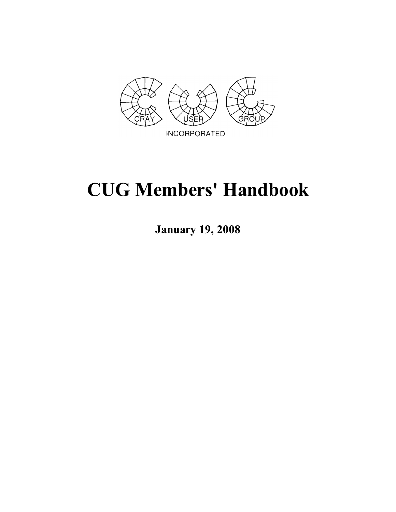

# **CUG Members' Handbook**

**January 19, 2008**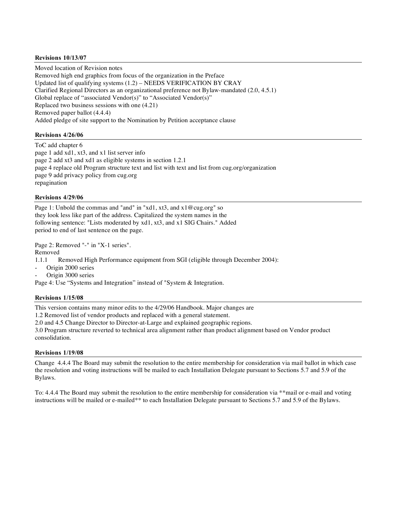#### **Revisions 10/13/07**

Moved location of Revision notes Removed high end graphics from focus of the organization in the Preface Updated list of qualifying systems (1.2) – NEEDS VERIFICATION BY CRAY Clarified Regional Directors as an organizational preference not Bylaw-mandated (2.0, 4.5.1) Global replace of "associated Vendor(s)" to "Associated Vendor(s)" Replaced two business sessions with one (4.21) Removed paper ballot (4.4.4) Added pledge of site support to the Nomination by Petition acceptance clause

#### **Revisions 4/26/06**

ToC add chapter 6 page 1 add xd1, xt3, and x1 list server info page 2 add xt3 and xd1 as eligible systems in section 1.2.1 page 4 replace old Program structure text and list with text and list from cug.org/organization page 9 add privacy policy from cug.org repagination

#### **Revisions 4/29/06**

Page 1: Unbold the commas and "and" in "xd1, xt3, and x1@cug.org" so they look less like part of the address. Capitalized the system names in the following sentence: "Lists moderated by xd1, xt3, and x1 SIG Chairs." Added period to end of last sentence on the page.

Page 2: Removed "-" in "X-1 series".

Removed

1.1.1 Removed High Performance equipment from SGI (eligible through December 2004):

Origin 2000 series

Origin 3000 series

Page 4: Use "Systems and Integration" instead of "System & Integration.

#### **Revisions 1/15/08**

This version contains many minor edits to the 4/29/06 Handbook. Major changes are

1.2 Removed list of vendor products and replaced with a general statement.

2.0 and 4.5 Change Director to Director-at-Large and explained geographic regions.

3.0 Program structure reverted to technical area alignment rather than product alignment based on Vendor product consolidation.

#### **Revisions 1/19/08**

Change 4.4.4 The Board may submit the resolution to the entire membership for consideration via mail ballot in which case the resolution and voting instructions will be mailed to each Installation Delegate pursuant to Sections 5.7 and 5.9 of the Bylaws.

To: 4.4.4 The Board may submit the resolution to the entire membership for consideration via \*\*mail or e-mail and voting instructions will be mailed or e-mailed\*\* to each Installation Delegate pursuant to Sections 5.7 and 5.9 of the Bylaws.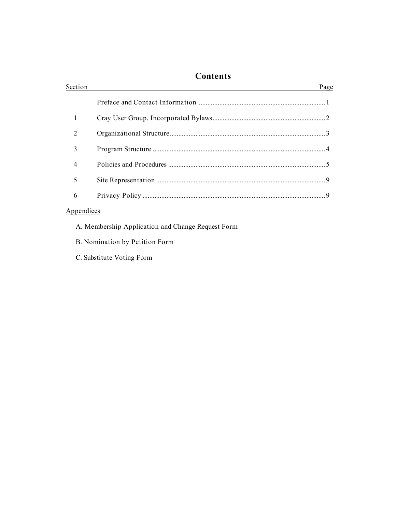## **Contents**

| Section        | Page |
|----------------|------|
|                |      |
|                |      |
| $\overline{2}$ |      |
| 3              |      |
| $\overline{4}$ |      |
| 5              |      |
| 6              |      |
|                |      |

### Appendices

- A. Membership Application and Change Request Form
- B. Nomination by Petition Form
- C. Substitute Voting Form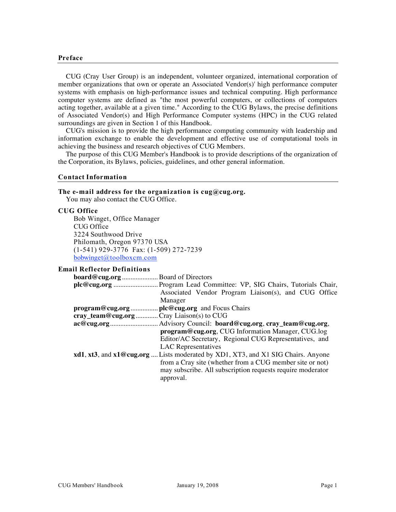#### **Preface**

CUG (Cray User Group) is an independent, volunteer organized, international corporation of member organizations that own or operate an Associated Vendor(s)' high performance computer systems with emphasis on high-performance issues and technical computing. High performance computer systems are defined as "the most powerful computers, or collections of computers acting together, available at a given time." According to the CUG Bylaws, the precise definitions of Associated Vendor(s) and High Performance Computer systems (HPC) in the CUG related surroundings are given in Section 1 of this Handbook.

CUG's mission is to provide the high performance computing community with leadership and information exchange to enable the development and effective use of computational tools in achieving the business and research objectives of CUG Members.

The purpose of this CUG Member's Handbook is to provide descriptions of the organization of the Corporation, its Bylaws, policies, guidelines, and other general information.

#### **Contact Information**

#### **The e-mail address for the organization is cug@cug.org.**

You may also contact the CUG Office.

#### **CUG Office**

Bob Winget, Office Manager CUG Office 3224 Southwood Drive Philomath, Oregon 97370 USA (1-541) 929-3776 Fax: (1-509) 272-7239 bobwinget@toolboxcm.com

#### **Email Reflector Definitions**

| <b>board@cug.org</b> Board of Directors  |                                                                                  |
|------------------------------------------|----------------------------------------------------------------------------------|
|                                          |                                                                                  |
|                                          | Associated Vendor Program Liaison(s), and CUG Office                             |
|                                          | Manager                                                                          |
|                                          |                                                                                  |
| cray_team@cug.org Cray Liaison(s) to CUG |                                                                                  |
|                                          | . Advisory Council: board@cug.org, cray_team@cug.org,                            |
|                                          | program@cug.org, CUG Information Manager, CUG.log                                |
|                                          | Editor/AC Secretary, Regional CUG Representatives, and                           |
|                                          | <b>LAC</b> Representatives                                                       |
|                                          | xd1, xt3, and x1@cug.org  Lists moderated by XD1, XT3, and X1 SIG Chairs. Anyone |
|                                          | from a Cray site (whether from a CUG member site or not)                         |
|                                          | may subscribe. All subscription requests require moderator                       |
|                                          | approval.                                                                        |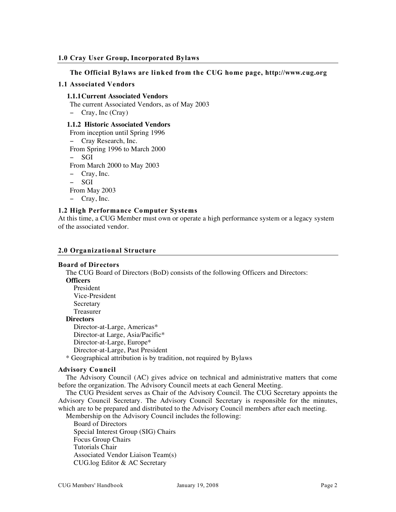#### **1.0 Cray User Group, Incorporated Bylaws**

#### **The Official Bylaws are linked from the CUG home page, http://www.cug.org**

#### **1.1 Associated Vendors**

#### **1.1.1Current Associated Vendors**

The current Associated Vendors, as of May 2003

− Cray, Inc (Cray)

#### **1.1.2 Historic Associated Vendors**

From inception until Spring 1996

- − Cray Research, Inc.
- From Spring 1996 to March 2000

− SGI

From March 2000 to May 2003

− Cray, Inc.

− SGI

From May 2003

− Cray, Inc.

#### **1.2 High Performance Computer Systems**

At this time, a CUG Member must own or operate a high performance system or a legacy system of the associated vendor.

#### **2.0 Organizational Structure**

#### **Board of Directors**

The CUG Board of Directors (BoD) consists of the following Officers and Directors:

#### **Officers**

President Vice-President Secretary Treasurer **Directors**

Director-at-Large, Americas\* Director-at Large, Asia/Pacific\* Director-at-Large, Europe\*

Director-at-Large, Past President

\* Geographical attribution is by tradition, not required by Bylaws

#### **Advisory Council**

The Advisory Council (AC) gives advice on technical and administrative matters that come before the organization. The Advisory Council meets at each General Meeting.

The CUG President serves as Chair of the Advisory Council. The CUG Secretary appoints the Advisory Council Secretary. The Advisory Council Secretary is responsible for the minutes, which are to be prepared and distributed to the Advisory Council members after each meeting.

Membership on the Advisory Council includes the following: Board of Directors Special Interest Group (SIG) Chairs Focus Group Chairs Tutorials Chair Associated Vendor Liaison Team(s) CUG.log Editor & AC Secretary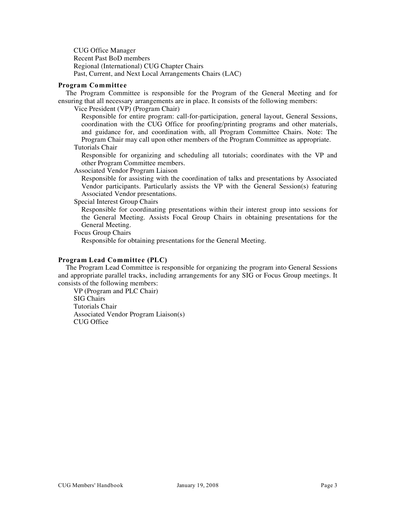CUG Office Manager Recent Past BoD members Regional (International) CUG Chapter Chairs Past, Current, and Next Local Arrangements Chairs (LAC)

#### **Program Committee**

The Program Committee is responsible for the Program of the General Meeting and for ensuring that all necessary arrangements are in place. It consists of the following members:

Vice President (VP) (Program Chair)

Responsible for entire program: call-for-participation, general layout, General Sessions, coordination with the CUG Office for proofing/printing programs and other materials, and guidance for, and coordination with, all Program Committee Chairs. Note: The Program Chair may call upon other members of the Program Committee as appropriate.

#### Tutorials Chair

Responsible for organizing and scheduling all tutorials; coordinates with the VP and other Program Committee members.

Associated Vendor Program Liaison

Responsible for assisting with the coordination of talks and presentations by Associated Vendor participants. Particularly assists the VP with the General Session(s) featuring Associated Vendor presentations.

Special Interest Group Chairs

Responsible for coordinating presentations within their interest group into sessions for the General Meeting. Assists Focal Group Chairs in obtaining presentations for the General Meeting.

Focus Group Chairs

Responsible for obtaining presentations for the General Meeting.

#### **Program Lead Committee (PLC)**

The Program Lead Committee is responsible for organizing the program into General Sessions and appropriate parallel tracks, including arrangements for any SIG or Focus Group meetings. It consists of the following members:

VP (Program and PLC Chair) SIG Chairs Tutorials Chair Associated Vendor Program Liaison(s) CUG Office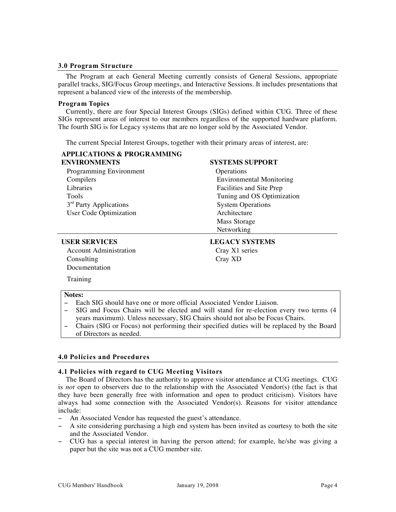#### **3.0 Program Structure**

The Program at each General Meeting currently consists of General Sessions, appropriate parallel tracks, SIG/Focus Group meetings, and Interactive Sessions. It includes presentations that represent a balanced view of the interests of the membership.

#### **Program Topics**

Currently, there are four Special Interest Groups (SIGs) defined within CUG. Three of these SIGs represent areas of interest to our members regardless of the supported hardware platform. The fourth SIG is for Legacy systems that are no longer sold by the Associated Vendor.

The current Special Interest Groups, together with their primary areas of interest, are:

| <b>APPLICATIONS &amp; PROGRAMMING</b> |                                 |
|---------------------------------------|---------------------------------|
| <b>ENVIRONMENTS</b>                   | <b>SYSTEMS SUPPORT</b>          |
| Programming Environment               | Operations                      |
| Compilers                             | <b>Environmental Monitoring</b> |
| Libraries                             | Facilities and Site Prep        |
| Tools                                 | Tuning and OS Optimization      |
| 3 <sup>rd</sup> Party Applications    | <b>System Operations</b>        |
| <b>User Code Optimization</b>         | Architecture                    |
|                                       | Mass Storage                    |
|                                       | Networking                      |

Account Administration Cray X1 series Consulting Cray XD Documentation

## **USER SERVICES LEGACY SYSTEMS**

Training

#### **Notes:**

- − Each SIG should have one or more official Associated Vendor Liaison.
- − SIG and Focus Chairs will be elected and will stand for re-election every two terms (4 years maximum). Unless necessary, SIG Chairs should not also be Focus Chairs.
- − Chairs (SIG or Focus) not performing their specified duties will be replaced by the Board of Directors as needed.

#### **4.0 Policies and Procedures**

#### **4.1 Policies with regard to CUG Meeting Visitors**

The Board of Directors has the authority to approve visitor attendance at CUG meetings. CUG is *not* open to observers due to the relationship with the Associated Vendor(s) (the fact is that they have been generally free with information and open to product criticism). Visitors have always had some connection with the Associated Vendor(s). Reasons for visitor attendance include:

- − An Associated Vendor has requested the guest's attendance.
- − A site considering purchasing a high end system has been invited as courtesy to both the site and the Associated Vendor.
- − CUG has a special interest in having the person attend; for example, he/she was giving a paper but the site was not a CUG member site.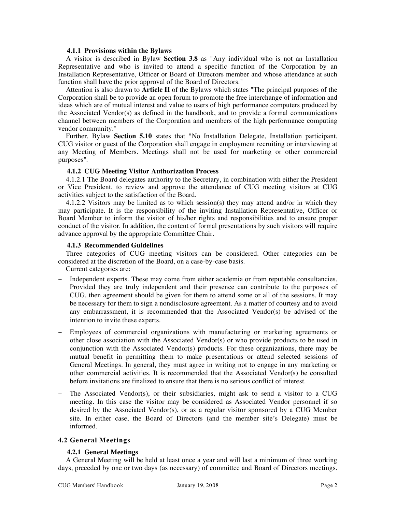#### **4.1.1 Provisions within the Bylaws**

A visitor is described in Bylaw **Section 3.8** as "Any individual who is not an Installation Representative and who is invited to attend a specific function of the Corporation by an Installation Representative, Officer or Board of Directors member and whose attendance at such function shall have the prior approval of the Board of Directors."

Attention is also drawn to **Article II** of the Bylaws which states "The principal purposes of the Corporation shall be to provide an open forum to promote the free interchange of information and ideas which are of mutual interest and value to users of high performance computers produced by the Associated Vendor(s) as defined in the handbook, and to provide a formal communications channel between members of the Corporation and members of the high performance computing vendor community*.*"

Further, Bylaw **Section 5.10** states that "No Installation Delegate, Installation participant, CUG visitor or guest of the Corporation shall engage in employment recruiting or interviewing at any Meeting of Members. Meetings shall not be used for marketing or other commercial purposes".

#### **4.1.2 CUG Meeting Visitor Authorization Process**

4.1.2.1 The Board delegates authority to the Secretary, in combination with either the President or Vice President, to review and approve the attendance of CUG meeting visitors at CUG activities subject to the satisfaction of the Board.

4.1.2.2 Visitors may be limited as to which session(s) they may attend and/or in which they may participate. It is the responsibility of the inviting Installation Representative, Officer or Board Member to inform the visitor of his/her rights and responsibilities and to ensure proper conduct of the visitor. In addition, the content of formal presentations by such visitors will require advance approval by the appropriate Committee Chair.

#### **4.1.3 Recommended Guidelines**

Three categories of CUG meeting visitors can be considered. Other categories can be considered at the discretion of the Board, on a case-by-case basis.

Current categories are:

- Independent experts. These may come from either academia or from reputable consultancies. Provided they are truly independent and their presence can contribute to the purposes of CUG, then agreement should be given for them to attend some or all of the sessions. It may be necessary for them to sign a nondisclosure agreement. As a matter of courtesy and to avoid any embarrassment, it is recommended that the Associated Vendor(s) be advised of the intention to invite these experts.
- − Employees of commercial organizations with manufacturing or marketing agreements or other close association with the Associated Vendor(s) or who provide products to be used in conjunction with the Associated Vendor(s) products. For these organizations, there may be mutual benefit in permitting them to make presentations or attend selected sessions of General Meetings. In general, they must agree in writing not to engage in any marketing or other commercial activities. It is recommended that the Associated Vendor(s) be consulted before invitations are finalized to ensure that there is no serious conflict of interest.
- The Associated Vendor(s), or their subsidiaries, might ask to send a visitor to a CUG meeting. In this case the visitor may be considered as Associated Vendor personnel if so desired by the Associated Vendor(s), or as a regular visitor sponsored by a CUG Member site. In either case, the Board of Directors (and the member site's Delegate) must be informed.

#### **4.2 General Meetings**

#### **4.2.1 General Meetings**

A General Meeting will be held at least once a year and will last a minimum of three working days, preceded by one or two days (as necessary) of committee and Board of Directors meetings.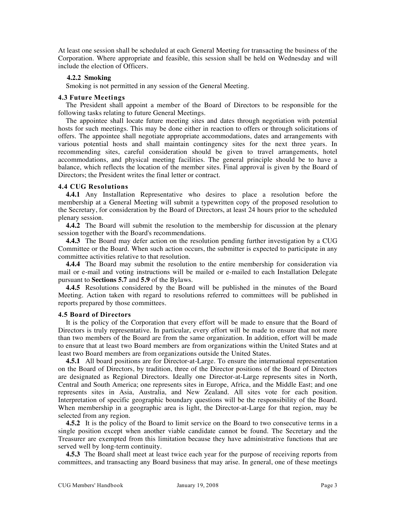At least one session shall be scheduled at each General Meeting for transacting the business of the Corporation. Where appropriate and feasible, this session shall be held on Wednesday and will include the election of Officers.

#### **4.2.2 Smoking**

Smoking is not permitted in any session of the General Meeting.

#### **4.3 Future Meetings**

The President shall appoint a member of the Board of Directors to be responsible for the following tasks relating to future General Meetings.

The appointee shall locate future meeting sites and dates through negotiation with potential hosts for such meetings. This may be done either in reaction to offers or through solicitations of offers. The appointee shall negotiate appropriate accommodations, dates and arrangements with various potential hosts and shall maintain contingency sites for the next three years. In recommending sites, careful consideration should be given to travel arrangements, hotel accommodations, and physical meeting facilities. The general principle should be to have a balance, which reflects the location of the member sites. Final approval is given by the Board of Directors; the President writes the final letter or contract.

#### **4.4 CUG Resolutions**

**4.4.1** Any Installation Representative who desires to place a resolution before the membership at a General Meeting will submit a typewritten copy of the proposed resolution to the Secretary, for consideration by the Board of Directors, at least 24 hours prior to the scheduled plenary session.

**4.4.2** The Board will submit the resolution to the membership for discussion at the plenary session together with the Board's recommendations.

**4.4.3** The Board may defer action on the resolution pending further investigation by a CUG Committee or the Board. When such action occurs, the submitter is expected to participate in any committee activities relative to that resolution.

**4.4.4** The Board may submit the resolution to the entire membership for consideration via mail or e-mail and voting instructions will be mailed or e-mailed to each Installation Delegate pursuant to **Sections 5.7** and **5.9** of the Bylaws.

**4.4.5** Resolutions considered by the Board will be published in the minutes of the Board Meeting. Action taken with regard to resolutions referred to committees will be published in reports prepared by those committees.

#### **4.5 Board of Directors**

It is the policy of the Corporation that every effort will be made to ensure that the Board of Directors is truly representative. In particular, every effort will be made to ensure that not more than two members of the Board are from the same organization. In addition, effort will be made to ensure that at least two Board members are from organizations within the United States and at least two Board members are from organizations outside the United States.

**4.5.1** All board positions are for Director-at-Large. To ensure the international representation on the Board of Directors, by tradition, three of the Director positions of the Board of Directors are designated as Regional Directors. Ideally one Director-at-Large represents sites in North, Central and South America; one represents sites in Europe, Africa, and the Middle East; and one represents sites in Asia, Australia, and New Zealand. All sites vote for each position. Interpretation of specific geographic boundary questions will be the responsibility of the Board. When membership in a geographic area is light, the Director-at-Large for that region, may be selected from any region.

**4.5.2** It is the policy of the Board to limit service on the Board to two consecutive terms in a single position except when another viable candidate cannot be found. The Secretary and the Treasurer are exempted from this limitation because they have administrative functions that are served well by long-term continuity.

**4.5.3** The Board shall meet at least twice each year for the purpose of receiving reports from committees, and transacting any Board business that may arise. In general, one of these meetings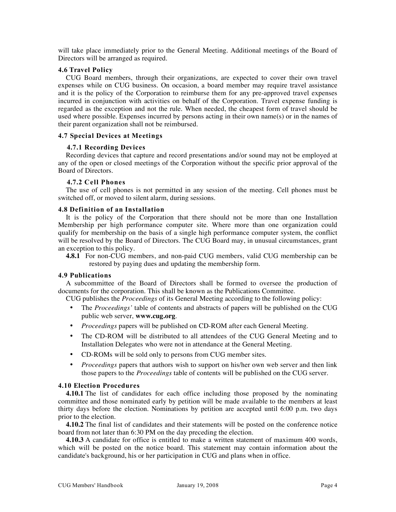will take place immediately prior to the General Meeting. Additional meetings of the Board of Directors will be arranged as required.

#### **4.6 Travel Policy**

CUG Board members, through their organizations, are expected to cover their own travel expenses while on CUG business. On occasion, a board member may require travel assistance and it is the policy of the Corporation to reimburse them for any pre-approved travel expenses incurred in conjunction with activities on behalf of the Corporation. Travel expense funding is regarded as the exception and not the rule. When needed, the cheapest form of travel should be used where possible. Expenses incurred by persons acting in their own name(s) or in the names of their parent organization shall not be reimbursed.

#### **4.7 Special Devices at Meetings**

#### **4.7.1 Recording Devices**

Recording devices that capture and record presentations and/or sound may not be employed at any of the open or closed meetings of the Corporation without the specific prior approval of the Board of Directors.

#### **4.7.2 Cell Phones**

The use of cell phones is not permitted in any session of the meeting. Cell phones must be switched off, or moved to silent alarm, during sessions.

#### **4.8 Definition of an Installation**

It is the policy of the Corporation that there should not be more than one Installation Membership per high performance computer site. Where more than one organization could qualify for membership on the basis of a single high performance computer system, the conflict will be resolved by the Board of Directors. The CUG Board may, in unusual circumstances, grant an exception to this policy.

**4.8.1** For non-CUG members, and non-paid CUG members, valid CUG membership can be restored by paying dues and updating the membership form.

#### **4.9 Publications**

A subcommittee of the Board of Directors shall be formed to oversee the production of documents for the corporation. This shall be known as the Publications Committee.

CUG publishes the *Proceedings* of its General Meeting according to the following policy:

- The *Proceedings'* table of contents and abstracts of papers will be published on the CUG public web server, **www.cug.org**.
- *Proceedings* papers will be published on CD-ROM after each General Meeting.
- The CD-ROM will be distributed to all attendees of the CUG General Meeting and to Installation Delegates who were not in attendance at the General Meeting.
- CD-ROMs will be sold only to persons from CUG member sites.
- *Proceedings* papers that authors wish to support on his/her own web server and then link those papers to the *Proceedings* table of contents will be published on the CUG server.

#### **4.10 Election Procedures**

**4.10.1** The list of candidates for each office including those proposed by the nominating committee and those nominated early by petition will be made available to the members at least thirty days before the election. Nominations by petition are accepted until 6:00 p.m. two days prior to the election.

**4.10.2** The final list of candidates and their statements will be posted on the conference notice board from not later than 6:30 PM on the day preceding the election.

**4.10.3** A candidate for office is entitled to make a written statement of maximum 400 words, which will be posted on the notice board. This statement may contain information about the candidate's background, his or her participation in CUG and plans when in office.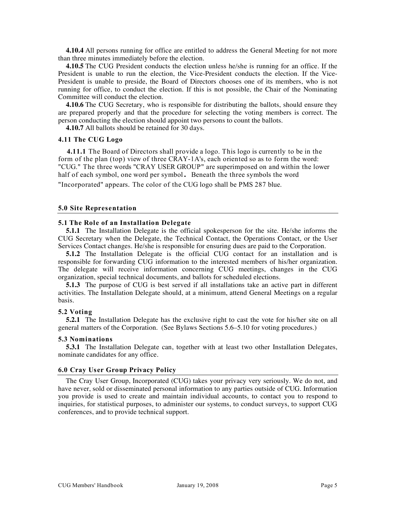**4.10.4** All persons running for office are entitled to address the General Meeting for not more than three minutes immediately before the election.

**4.10.5** The CUG President conducts the election unless he/she is running for an office. If the President is unable to run the election, the Vice-President conducts the election. If the Vice-President is unable to preside, the Board of Directors chooses one of its members, who is not running for office, to conduct the election. If this is not possible, the Chair of the Nominating Committee will conduct the election.

**4.10.6** The CUG Secretary, who is responsible for distributing the ballots, should ensure they are prepared properly and that the procedure for selecting the voting members is correct. The person conducting the election should appoint two persons to count the ballots.

**4.10.7** All ballots should be retained for 30 days.

#### **4.11 The CUG Logo**

**4.11.1** The Board of Directors shall provide a logo. This logo is currently to be in the form of the plan (top) view of three CRAY-1A's, each oriented so as to form the word: "CUG." The three words "CRAY USER GROUP" are superimposed on and within the lower half of each symbol, one word per symbol. Beneath the three symbols the word "Incorporated" appears. The color of the CUG logo shall be PMS 287 blue.

#### **5.0 Site Representation**

#### **5.1 The Role of an Installation Delegate**

**5.1.1** The Installation Delegate is the official spokesperson for the site. He/she informs the CUG Secretary when the Delegate, the Technical Contact, the Operations Contact, or the User Services Contact changes. He/she is responsible for ensuring dues are paid to the Corporation.

**5.1.2** The Installation Delegate is the official CUG contact for an installation and is responsible for forwarding CUG information to the interested members of his/her organization. The delegate will receive information concerning CUG meetings, changes in the CUG organization, special technical documents, and ballots for scheduled elections.

**5.1.3** The purpose of CUG is best served if all installations take an active part in different activities. The Installation Delegate should, at a minimum, attend General Meetings on a regular basis.

#### **5.2 Voting**

**5.2.1** The Installation Delegate has the exclusive right to cast the vote for his/her site on all general matters of the Corporation. (See Bylaws Sections 5.6–5.10 for voting procedures.)

#### **5.3 Nominations**

**5.3.1** The Installation Delegate can, together with at least two other Installation Delegates, nominate candidates for any office.

#### **6.0 Cray User Group Privacy Policy**

The Cray User Group, Incorporated (CUG) takes your privacy very seriously. We do not, and have never, sold or disseminated personal information to any parties outside of CUG. Information you provide is used to create and maintain individual accounts, to contact you to respond to inquiries, for statistical purposes, to administer our systems, to conduct surveys, to support CUG conferences, and to provide technical support.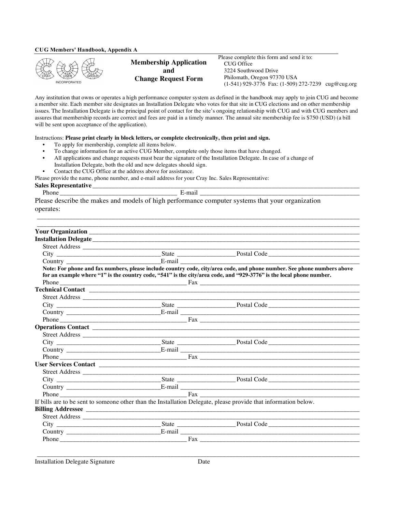#### **CUG Members' Handbook, Appendix A**



**Membership Application and Change Request Form**

Please complete this form and send it to: CUG Office 3224 Southwood Drive Philomath, Oregon 97370 USA (1-541) 929-3776 Fax: (1-509) 272-7239 cug@cug.org

Any institution that owns or operates a high performance computer system as defined in the handbook may apply to join CUG and become a member site. Each member site designates an Installation Delegate who votes for that site in CUG elections and on other membership issues. The Installation Delegate is the principal point of contact for the site's ongoing relationship with CUG and with CUG members and assures that membership records are correct and fees are paid in a timely manner. The annual site membership fee is \$750 (USD) (a bill will be sent upon acceptance of the application).

Instructions: **Please print clearly in block letters, or complete electronically, then print and sign.**

- To apply for membership, complete all items below.
- To change information for an active CUG Member, complete only those items that have changed.
- All applications and change requests must bear the signature of the Installation Delegate. In case of a change of Installation Delegate, both the old and new delegates should sign.
- Contact the CUG Office at the address above for assistance.

Please provide the name, phone number, and e-mail address for your Cray Inc. Sales Representative:

**Sales Representative** \_\_\_\_\_\_\_\_\_\_\_\_\_\_\_\_\_\_\_\_\_\_\_\_\_\_\_\_\_\_\_\_\_\_\_\_\_\_\_\_\_\_\_\_\_\_\_\_\_\_\_\_\_\_\_\_\_\_\_\_\_\_\_\_\_\_\_\_\_\_\_\_\_\_\_\_\_\_\_\_\_\_

Phone \_\_\_\_\_\_\_\_\_\_\_\_\_\_\_\_\_\_\_\_\_\_\_\_\_\_\_\_\_\_\_\_\_\_\_\_ E-mail \_\_\_\_\_\_\_\_\_\_\_\_\_\_\_\_\_\_\_\_\_\_\_\_\_\_\_\_\_\_\_\_\_\_\_\_\_\_\_\_\_\_\_\_\_\_\_\_\_

\_\_\_\_\_\_\_\_\_\_\_\_\_\_\_\_\_\_\_\_\_\_\_\_\_\_\_\_\_\_\_\_\_\_\_\_\_\_\_\_\_\_\_\_\_\_\_\_\_\_\_\_\_\_\_\_\_\_\_\_\_\_\_\_\_\_\_\_\_\_\_\_\_\_\_\_\_\_\_\_\_\_\_\_\_\_\_\_\_\_\_\_\_\_\_\_\_\_\_

Please describe the makes and models of high performance computer systems that your organization operates:

|  | Note: For phone and fax numbers, please include country code, city/area code, and phone number. See phone numbers above |
|--|-------------------------------------------------------------------------------------------------------------------------|
|  | for an example where "1" is the country code, "541" is the city/area code, and "929-3776" is the local phone number.    |
|  |                                                                                                                         |
|  |                                                                                                                         |
|  |                                                                                                                         |
|  |                                                                                                                         |
|  |                                                                                                                         |
|  |                                                                                                                         |
|  |                                                                                                                         |
|  |                                                                                                                         |
|  |                                                                                                                         |
|  |                                                                                                                         |
|  |                                                                                                                         |
|  |                                                                                                                         |
|  |                                                                                                                         |
|  |                                                                                                                         |
|  |                                                                                                                         |
|  |                                                                                                                         |
|  | If bills are to be sent to someone other than the Installation Delegate, please provide that information below.         |
|  |                                                                                                                         |
|  |                                                                                                                         |
|  |                                                                                                                         |
|  |                                                                                                                         |
|  |                                                                                                                         |
|  |                                                                                                                         |

Installation Delegate Signature Date

\_\_\_\_\_\_\_\_\_\_\_\_\_\_\_\_\_\_\_\_\_\_\_\_\_\_\_\_\_\_\_\_\_\_\_\_\_\_\_\_\_\_\_\_\_\_\_\_\_\_\_\_\_\_\_\_\_\_\_\_\_\_\_\_\_\_\_\_\_\_\_\_\_\_\_\_\_\_\_\_\_\_\_\_\_\_\_\_\_\_\_\_\_\_\_\_\_\_\_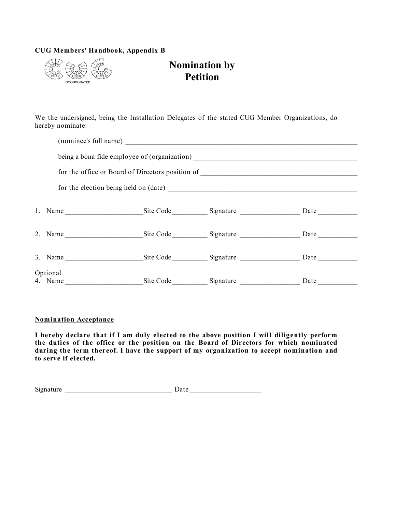#### **CUG Members' Handbook, Appendix B**



## **Nomination by Petition**

We the undersigned, being the Installation Delegates of the stated CUG Member Organizations, do hereby nominate:

|                                         | being a bona fide employee of (organization) ___________________________________  |      |
|-----------------------------------------|-----------------------------------------------------------------------------------|------|
|                                         | for the office or Board of Directors position of ________________________________ |      |
|                                         |                                                                                   |      |
|                                         |                                                                                   |      |
| 2. Name Site Code Signature Date Date   |                                                                                   |      |
| 3. Name Site Code Signature Date Date   |                                                                                   |      |
| Optional<br>4. Name Site Code Signature |                                                                                   | Date |

#### **Nomination Acceptance**

**I hereby declare that if I am duly elected to the above position I will diligently perform the duties of the office or the position on the Board of Directors for which nominated during the term thereof. I have the support of my organization to accept nomination and to serve if elected.**

| Signature | ., |  |
|-----------|----|--|
|           |    |  |